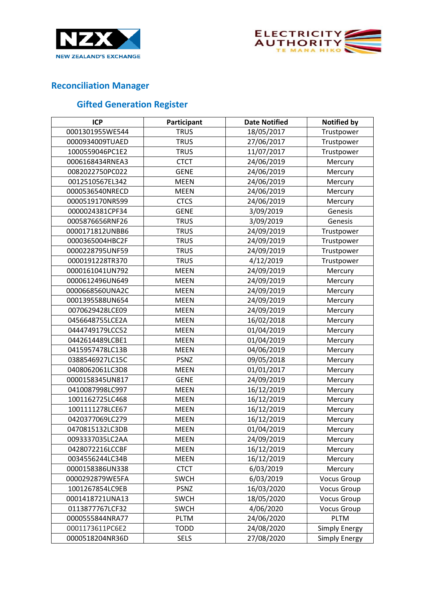



## **Reconciliation Manager**

## **Gifted Generation Register**

| <b>ICP</b>      | Participant | <b>Date Notified</b> | <b>Notified by</b>   |
|-----------------|-------------|----------------------|----------------------|
| 0001301955WE544 | <b>TRUS</b> | 18/05/2017           | Trustpower           |
| 0000934009TUAED | <b>TRUS</b> | 27/06/2017           | Trustpower           |
| 1000559046PC1E2 | <b>TRUS</b> | 11/07/2017           | Trustpower           |
| 0006168434RNEA3 | <b>CTCT</b> | 24/06/2019           | Mercury              |
| 0082022750PC022 | <b>GENE</b> | 24/06/2019           | Mercury              |
| 0012510567EL342 | <b>MEEN</b> | 24/06/2019           | Mercury              |
| 0000536540NRECD | <b>MEEN</b> | 24/06/2019           | Mercury              |
| 0000519170NR599 | <b>CTCS</b> | 24/06/2019           | Mercury              |
| 0000024381CPF34 | <b>GENE</b> | 3/09/2019            | Genesis              |
| 0005876656RNF26 | <b>TRUS</b> | 3/09/2019            | Genesis              |
| 0000171812UNBB6 | <b>TRUS</b> | 24/09/2019           | Trustpower           |
| 0000365004HBC2F | <b>TRUS</b> | 24/09/2019           | Trustpower           |
| 0000228795UNF59 | <b>TRUS</b> | 24/09/2019           | Trustpower           |
| 0000191228TR370 | <b>TRUS</b> | 4/12/2019            | Trustpower           |
| 0000161041UN792 | <b>MEEN</b> | 24/09/2019           | Mercury              |
| 0000612496UN649 | <b>MEEN</b> | 24/09/2019           | Mercury              |
| 0000668560UNA2C | <b>MEEN</b> | 24/09/2019           | Mercury              |
| 0001395588UN654 | <b>MEEN</b> | 24/09/2019           | Mercury              |
| 0070629428LCE09 | <b>MEEN</b> | 24/09/2019           | Mercury              |
| 0456648755LCE2A | <b>MEEN</b> | 16/02/2018           | Mercury              |
| 0444749179LCC52 | <b>MEEN</b> | 01/04/2019           | Mercury              |
| 0442614489LCBE1 | <b>MEEN</b> | 01/04/2019           | Mercury              |
| 0415957478LC13B | <b>MEEN</b> | 04/06/2019           | Mercury              |
| 0388546927LC15C | <b>PSNZ</b> | 09/05/2018           | Mercury              |
| 0408062061LC3D8 | <b>MEEN</b> | 01/01/2017           | Mercury              |
| 0000158345UN817 | <b>GENE</b> | 24/09/2019           | Mercury              |
| 0410087998LC997 | <b>MEEN</b> | 16/12/2019           | Mercury              |
| 1001162725LC468 | <b>MEEN</b> | 16/12/2019           | Mercury              |
| 1001111278LCE67 | <b>MEEN</b> | 16/12/2019           | Mercury              |
| 0420377069LC279 | <b>MEEN</b> | 16/12/2019           | Mercury              |
| 0470815132LC3DB | <b>MEEN</b> | 01/04/2019           | Mercury              |
| 0093337035LC2AA | <b>MEEN</b> | 24/09/2019           | Mercury              |
| 0428072216LCCBF | <b>MEEN</b> | 16/12/2019           | Mercury              |
| 0034556244LC34B | <b>MEEN</b> | 16/12/2019           | Mercury              |
| 0000158386UN338 | <b>CTCT</b> | 6/03/2019            | Mercury              |
| 0000292879WE5FA | <b>SWCH</b> | 6/03/2019            | <b>Vocus Group</b>   |
| 1001267854LC9EB | <b>PSNZ</b> | 16/03/2020           | <b>Vocus Group</b>   |
| 0001418721UNA13 | <b>SWCH</b> | 18/05/2020           | <b>Vocus Group</b>   |
| 0113877767LCF32 | <b>SWCH</b> | 4/06/2020            | <b>Vocus Group</b>   |
| 0000555844NRA77 | <b>PLTM</b> | 24/06/2020           | <b>PLTM</b>          |
| 0001173611PC6E2 | <b>TODD</b> | 24/08/2020           | <b>Simply Energy</b> |
| 0000518204NR36D | <b>SELS</b> | 27/08/2020           | Simply Energy        |